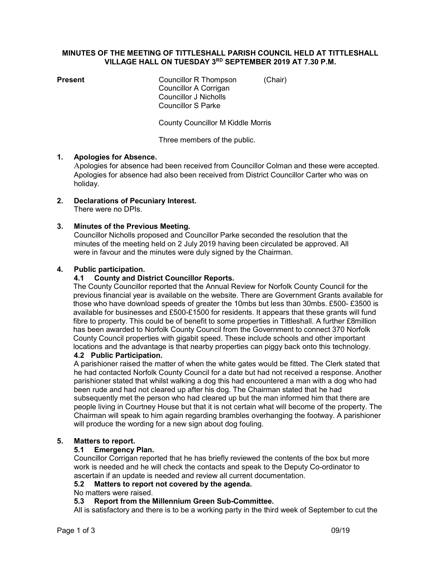#### MINUTES OF THE MEETING OF TITTLESHALL PARISH COUNCIL HELD AT TITTLESHALL VILLAGE HALL ON TUESDAY 3RD SEPTEMBER 2019 AT 7.30 P.M.

**Present** Councillor R Thompson (Chair) Councillor A Corrigan Councillor J Nicholls Councillor S Parke

County Councillor M Kiddle Morris

Three members of the public.

## 1. Apologies for Absence.

 Apologies for absence had been received from Councillor Colman and these were accepted. Apologies for absence had also been received from District Councillor Carter who was on holiday.

2. Declarations of Pecuniary Interest. There were no DPIs.

# 3. Minutes of the Previous Meeting.

Councillor Nicholls proposed and Councillor Parke seconded the resolution that the minutes of the meeting held on 2 July 2019 having been circulated be approved. All were in favour and the minutes were duly signed by the Chairman.

#### 4. Public participation.

## 4.1 County and District Councillor Reports.

 The County Councillor reported that the Annual Review for Norfolk County Council for the previous financial year is available on the website. There are Government Grants available for those who have download speeds of greater the 10mbs but less than 30mbs. £500- £3500 is available for businesses and £500-£1500 for residents. It appears that these grants will fund fibre to property. This could be of benefit to some properties in Tittleshall. A further £8million has been awarded to Norfolk County Council from the Government to connect 370 Norfolk County Council properties with gigabit speed. These include schools and other important locations and the advantage is that nearby properties can piggy back onto this technology.

#### 4.2 Public Participation.

A parishioner raised the matter of when the white gates would be fitted. The Clerk stated that he had contacted Norfolk County Council for a date but had not received a response. Another parishioner stated that whilst walking a dog this had encountered a man with a dog who had been rude and had not cleared up after his dog. The Chairman stated that he had subsequently met the person who had cleared up but the man informed him that there are people living in Courtney House but that it is not certain what will become of the property. The Chairman will speak to him again regarding brambles overhanging the footway. A parishioner will produce the wording for a new sign about dog fouling.

#### 5. Matters to report.

## 5.1 Emergency Plan.

Councillor Corrigan reported that he has briefly reviewed the contents of the box but more work is needed and he will check the contacts and speak to the Deputy Co-ordinator to ascertain if an update is needed and review all current documentation.

## 5.2 Matters to report not covered by the agenda.

## No matters were raised.

## 5.3 Report from the Millennium Green Sub-Committee.

All is satisfactory and there is to be a working party in the third week of September to cut the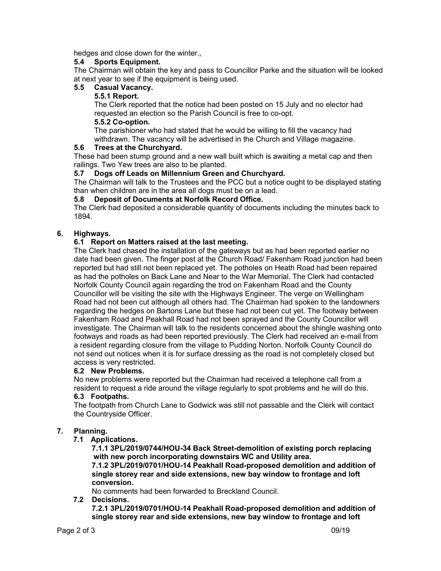hedges and close down for the winter.,

## 5.4 Sports Equipment.

The Chairman will obtain the key and pass to Councillor Parke and the situation will be looked at next year to see if the equipment is being used.

## 5.5 Casual Vacancy.

#### 5.5.1 Report.

 The Clerk reported that the notice had been posted on 15 July and no elector had requested an election so the Parish Council is free to co-opt.

#### 5.5.2 Co-option.

 The parishioner who had stated that he would be willing to fill the vacancy had withdrawn. The vacancy will be advertised in the Church and Village magazine.

#### 5.6 Trees at the Churchyard.

These had been stump ground and a new wall built which is awaiting a metal cap and then railings. Two Yew trees are also to be planted.

#### 5.7 Dogs off Leads on Millennium Green and Churchyard.

The Chairman will talk to the Trustees and the PCC but a notice ought to be displayed stating than when children are in the area all dogs must be on a lead.

## 5.8 Deposit of Documents at Norfolk Record Office.

The Clerk had deposited a considerable quantity of documents including the minutes back to 1894.

## 6. Highways.

## 6.1 Report on Matters raised at the last meeting.

The Clerk had chased the installation of the gateways but as had been reported earlier no date had been given. The finger post at the Church Road/ Fakenham Road junction had been reported but had still not been replaced yet. The potholes on Heath Road had been repaired as had the potholes on Back Lane and Near to the War Memorial. The Clerk had contacted Norfolk County Council again regarding the trod on Fakenham Road and the County Councillor will be visiting the site with the Highways Engineer. The verge on Wellingham Road had not been cut although all others had. The Chairman had spoken to the landowners regarding the hedges on Bartons Lane but these had not been cut yet. The footway between Fakenham Road and Peakhall Road had not been sprayed and the County Councillor will investigate. The Chairman will talk to the residents concerned about the shingle washing onto footways and roads as had been reported previously. The Clerk had received an e-mail from a resident regarding closure from the village to Pudding Norton. Norfolk County Council do not send out notices when it is for surface dressing as the road is not completely closed but access is very restricted.

## 6.2 New Problems.

No new problems were reported but the Chairman had received a telephone call from a resident to request a ride around the village regularly to spot problems and he will do this.

## 6.3 Footpaths.

The footpath from Church Lane to Godwick was still not passable and the Clerk will contact the Countryside Officer.

## 7. Planning.

7.1 Applications.

 7.1.1 3PL/2019/0744/HOU-34 Back Street-demolition of existing porch replacing with new porch incorporating downstairs WC and Utility area. 7.1.2 3PL/2019/0701/HOU-14 Peakhall Road-proposed demolition and addition of single storey rear and side extensions, new bay window to frontage and loft conversion.

No comments had been forwarded to Breckland Council.

7.2 Decisions.

 7.2.1 3PL/2019/0701/HOU-14 Peakhall Road-proposed demolition and addition of single storey rear and side extensions, new bay window to frontage and loft